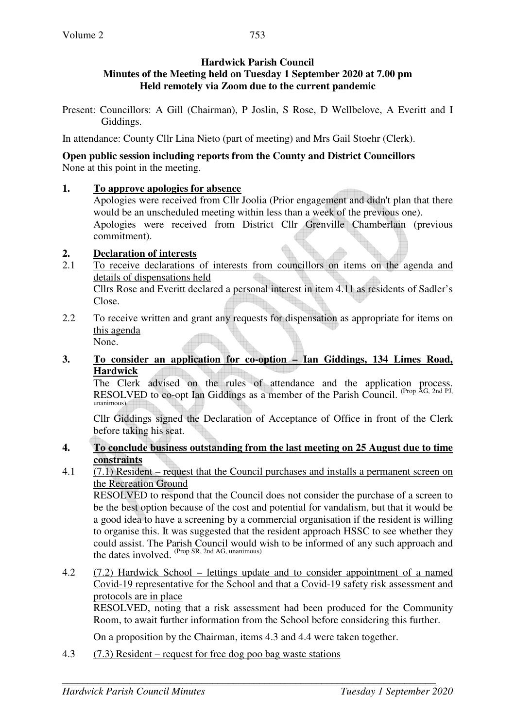### **Hardwick Parish Council Minutes of the Meeting held on Tuesday 1 September 2020 at 7.00 pm Held remotely via Zoom due to the current pandemic**

Present: Councillors: A Gill (Chairman), P Joslin, S Rose, D Wellbelove, A Everitt and I Giddings.

In attendance: County Cllr Lina Nieto (part of meeting) and Mrs Gail Stoehr (Clerk).

#### **Open public session including reports from the County and District Councillors**  None at this point in the meeting.

# **1. To approve apologies for absence**

Apologies were received from Cllr Joolia (Prior engagement and didn't plan that there would be an unscheduled meeting within less than a week of the previous one). Apologies were received from District Cllr Grenville Chamberlain (previous commitment).

# **2. Declaration of interests**

2.1 To receive declarations of interests from councillors on items on the agenda and details of dispensations held

Cllrs Rose and Everitt declared a personal interest in item 4.11 as residents of Sadler's Close.

2.2 To receive written and grant any requests for dispensation as appropriate for items on this agenda

None.

**3. To consider an application for co-option – Ian Giddings, 134 Limes Road, Hardwick** 

 The Clerk advised on the rules of attendance and the application process. RESOLVED to co-opt Ian Giddings as a member of the Parish Council. <sup>(Prop AG, 2nd PJ,</sup> unanimous)

Cllr Giddings signed the Declaration of Acceptance of Office in front of the Clerk before taking his seat.

#### **4. To conclude business outstanding from the last meeting on 25 August due to time constraints**

4.1 (7.1) Resident – request that the Council purchases and installs a permanent screen on the Recreation Ground

RESOLVED to respond that the Council does not consider the purchase of a screen to be the best option because of the cost and potential for vandalism, but that it would be a good idea to have a screening by a commercial organisation if the resident is willing to organise this. It was suggested that the resident approach HSSC to see whether they could assist. The Parish Council would wish to be informed of any such approach and the dates involved. (Prop SR, 2nd AG, unanimous)

4.2 (7.2) Hardwick School – lettings update and to consider appointment of a named Covid-19 representative for the School and that a Covid-19 safety risk assessment and protocols are in place

RESOLVED, noting that a risk assessment had been produced for the Community Room, to await further information from the School before considering this further.

On a proposition by the Chairman, items 4.3 and 4.4 were taken together.

4.3 (7.3) Resident – request for free dog poo bag waste stations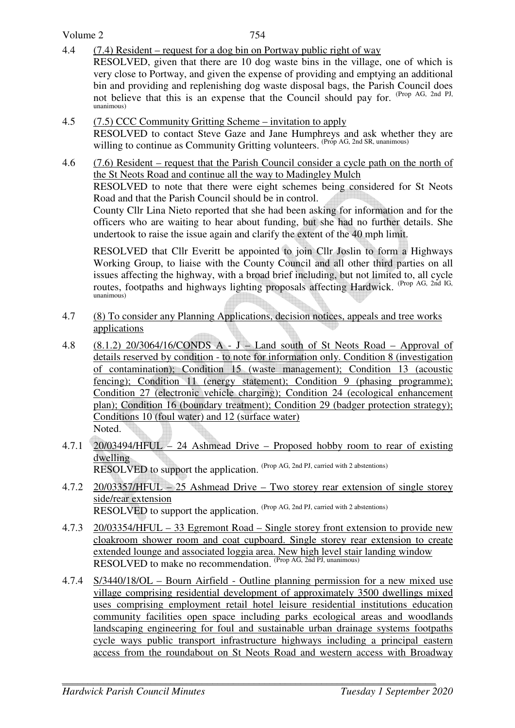Volume 2

unanimous)

754

- 4.4 (7.4) Resident request for a dog bin on Portway public right of way RESOLVED, given that there are 10 dog waste bins in the village, one of which is very close to Portway, and given the expense of providing and emptying an additional bin and providing and replenishing dog waste disposal bags, the Parish Council does not believe that this is an expense that the Council should pay for. (Prop AG, 2nd PJ,
- 4.5 (7.5) CCC Community Gritting Scheme invitation to apply RESOLVED to contact Steve Gaze and Jane Humphreys and ask whether they are willing to continue as Community Gritting volunteers. (Prop AG, 2nd SR, unanimous)
- 4.6 (7.6) Resident request that the Parish Council consider a cycle path on the north of the St Neots Road and continue all the way to Madingley Mulch

RESOLVED to note that there were eight schemes being considered for St Neots Road and that the Parish Council should be in control.

County Cllr Lina Nieto reported that she had been asking for information and for the officers who are waiting to hear about funding, but she had no further details. She undertook to raise the issue again and clarify the extent of the 40 mph limit.

RESOLVED that Cllr Everitt be appointed to join Cllr Joslin to form a Highways Working Group, to liaise with the County Council and all other third parties on all issues affecting the highway, with a broad brief including, but not limited to, all cycle routes, footpaths and highways lighting proposals affecting Hardwick. (Prop AG, 2nd IG, unanimous)

- 4.7 (8) To consider any Planning Applications, decision notices, appeals and tree works applications
- 4.8 (8.1.2) 20/3064/16/CONDS A J Land south of St Neots Road Approval of details reserved by condition - to note for information only. Condition 8 (investigation of contamination); Condition 15 (waste management); Condition 13 (acoustic fencing); Condition 11 (energy statement); Condition 9 (phasing programme); Condition 27 (electronic vehicle charging); Condition 24 (ecological enhancement plan); Condition 16 (boundary treatment); Condition 29 (badger protection strategy); Conditions 10 (foul water) and 12 (surface water) Noted.
- 4.7.1 20/03494/HFUL 24 Ashmead Drive Proposed hobby room to rear of existing dwelling RESOLVED to support the application. (Prop AG, 2nd PJ, carried with 2 abstentions)
- 4.7.2 20/03357/HFUL 25 Ashmead Drive Two storey rear extension of single storey side/rear extension RESOLVED to support the application. (Prop AG, 2nd PJ, carried with 2 abstentions)
- 4.7.3 20/03354/HFUL 33 Egremont Road Single storey front extension to provide new cloakroom shower room and coat cupboard. Single storey rear extension to create extended lounge and associated loggia area. New high level stair landing window RESOLVED to make no recommendation. (Prop AG, 2nd PJ, unanimous)
- 4.7.4 S/3440/18/OL Bourn Airfield Outline planning permission for a new mixed use village comprising residential development of approximately 3500 dwellings mixed uses comprising employment retail hotel leisure residential institutions education community facilities open space including parks ecological areas and woodlands landscaping engineering for foul and sustainable urban drainage systems footpaths cycle ways public transport infrastructure highways including a principal eastern access from the roundabout on St Neots Road and western access with Broadway